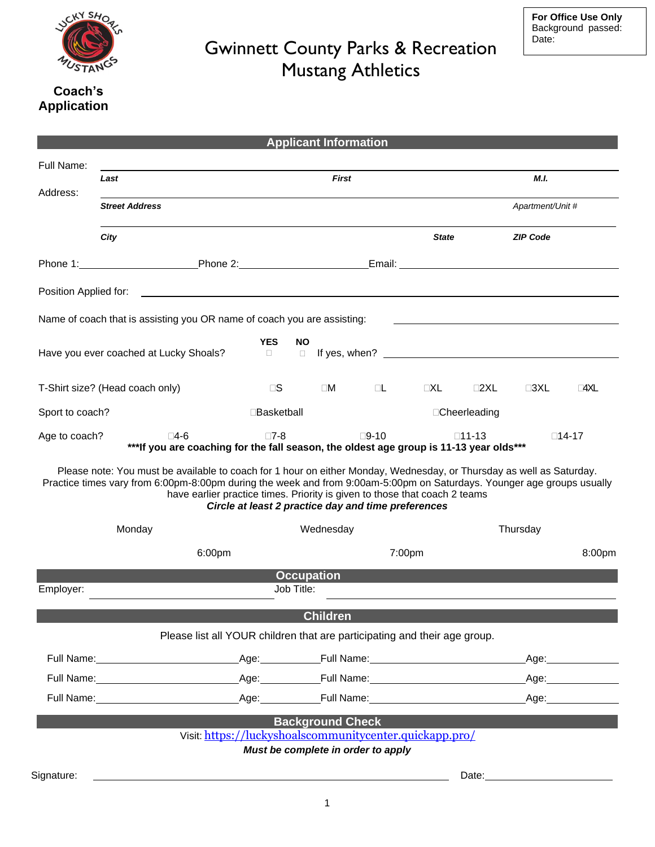

## Coach's **Application**

|                                                                                                                                                                                                                                                                                                                                                                                     |                                                                                                                |                                                                                                                                                                                                                                | <b>Applicant Information</b> |                |              |                      |                    |                      |  |
|-------------------------------------------------------------------------------------------------------------------------------------------------------------------------------------------------------------------------------------------------------------------------------------------------------------------------------------------------------------------------------------|----------------------------------------------------------------------------------------------------------------|--------------------------------------------------------------------------------------------------------------------------------------------------------------------------------------------------------------------------------|------------------------------|----------------|--------------|----------------------|--------------------|----------------------|--|
| Full Name:                                                                                                                                                                                                                                                                                                                                                                          |                                                                                                                |                                                                                                                                                                                                                                |                              |                |              |                      |                    |                      |  |
| Address:                                                                                                                                                                                                                                                                                                                                                                            | <b>First</b><br>Last                                                                                           |                                                                                                                                                                                                                                |                              |                |              |                      | M.I.               |                      |  |
|                                                                                                                                                                                                                                                                                                                                                                                     | <b>Street Address</b>                                                                                          |                                                                                                                                                                                                                                |                              |                |              | Apartment/Unit #     |                    |                      |  |
|                                                                                                                                                                                                                                                                                                                                                                                     | City                                                                                                           |                                                                                                                                                                                                                                |                              |                | <b>State</b> |                      | <b>ZIP Code</b>    |                      |  |
|                                                                                                                                                                                                                                                                                                                                                                                     |                                                                                                                |                                                                                                                                                                                                                                |                              |                |              |                      |                    |                      |  |
| Position Applied for:<br><u> 1989 - Johann Stoff, deutscher Stoff, der Stoff, der Stoff, der Stoff, der Stoff, der Stoff, der Stoff, der S</u>                                                                                                                                                                                                                                      |                                                                                                                |                                                                                                                                                                                                                                |                              |                |              |                      |                    |                      |  |
| Name of coach that is assisting you OR name of coach you are assisting:                                                                                                                                                                                                                                                                                                             |                                                                                                                |                                                                                                                                                                                                                                |                              |                |              |                      |                    |                      |  |
| <b>YES</b><br><b>NO</b><br>If yes, when? The state of the state of the state of the state of the state of the state of the state of the state of the state of the state of the state of the state of the state of the state of the state of the state of<br>Have you ever coached at Lucky Shoals?<br>$\Box$<br>$\Box$                                                              |                                                                                                                |                                                                                                                                                                                                                                |                              |                |              |                      |                    |                      |  |
| T-Shirt size? (Head coach only)                                                                                                                                                                                                                                                                                                                                                     |                                                                                                                | $\Box$                                                                                                                                                                                                                         | $\square M$                  | $\Box$         | $\Box XL$    | $\square 2\times L$  | $\square 3XL$      | $\Box 4 \times \Box$ |  |
| Sport to coach?                                                                                                                                                                                                                                                                                                                                                                     |                                                                                                                | □Basketball                                                                                                                                                                                                                    |                              |                |              | □Cheerleading        |                    |                      |  |
| Age to coach?                                                                                                                                                                                                                                                                                                                                                                       | ⊟4-6<br>*** If you are coaching for the fall season, the oldest age group is 11-13 year olds***                | $\square$ 7-8                                                                                                                                                                                                                  |                              | $\square$ 9-10 |              | □11-13               |                    | □14-17               |  |
| Please note: You must be available to coach for 1 hour on either Monday, Wednesday, or Thursday as well as Saturday.<br>Practice times vary from 6:00pm-8:00pm during the week and from 9:00am-5:00pm on Saturdays. Younger age groups usually<br>have earlier practice times. Priority is given to those that coach 2 teams<br>Circle at least 2 practice day and time preferences |                                                                                                                |                                                                                                                                                                                                                                |                              |                |              |                      |                    |                      |  |
| Monday                                                                                                                                                                                                                                                                                                                                                                              |                                                                                                                | Wednesday                                                                                                                                                                                                                      |                              |                |              | Thursday             |                    |                      |  |
| 6:00pm                                                                                                                                                                                                                                                                                                                                                                              |                                                                                                                | 7:00pm                                                                                                                                                                                                                         |                              |                |              |                      | 8:00pm             |                      |  |
| <b>Occupation</b><br>Job Title:<br>Employer:                                                                                                                                                                                                                                                                                                                                        |                                                                                                                |                                                                                                                                                                                                                                |                              |                |              |                      |                    |                      |  |
|                                                                                                                                                                                                                                                                                                                                                                                     |                                                                                                                |                                                                                                                                                                                                                                |                              |                |              |                      |                    |                      |  |
|                                                                                                                                                                                                                                                                                                                                                                                     | Please list all YOUR children that are participating and their age group.                                      |                                                                                                                                                                                                                                | <b>Children</b>              |                |              |                      |                    |                      |  |
|                                                                                                                                                                                                                                                                                                                                                                                     | Full Name: Manual Manual Manual Manual Manual Manual Manual Manual Manual Manual Manual Manual Manual Manual M | Age: Full Name: Name: Name: Name: Name: Name: Name: Name: Name: Name: Name: Name: Name: Name: Name: Name: Name: Name: Name: Name: Name: Name: Name: Name: Name: Name: Name: Name: Name: Name: Name: Name: Name: Name: Name: Na |                              |                |              |                      |                    | _Age:_______________ |  |
|                                                                                                                                                                                                                                                                                                                                                                                     |                                                                                                                |                                                                                                                                                                                                                                |                              |                |              | Age: _______________ |                    |                      |  |
|                                                                                                                                                                                                                                                                                                                                                                                     | Full Name: Age: Age: Full Name: Age: Full Name: Age:                                                           |                                                                                                                                                                                                                                |                              |                |              |                      |                    |                      |  |
|                                                                                                                                                                                                                                                                                                                                                                                     |                                                                                                                | Visit: https://luckyshoalscommunitycenter.quickapp.pro/<br>Must be complete in order to apply                                                                                                                                  | <b>Background Check</b>      |                |              |                      |                    |                      |  |
| Signature:                                                                                                                                                                                                                                                                                                                                                                          |                                                                                                                |                                                                                                                                                                                                                                |                              |                |              |                      | Date: <u>Date:</u> |                      |  |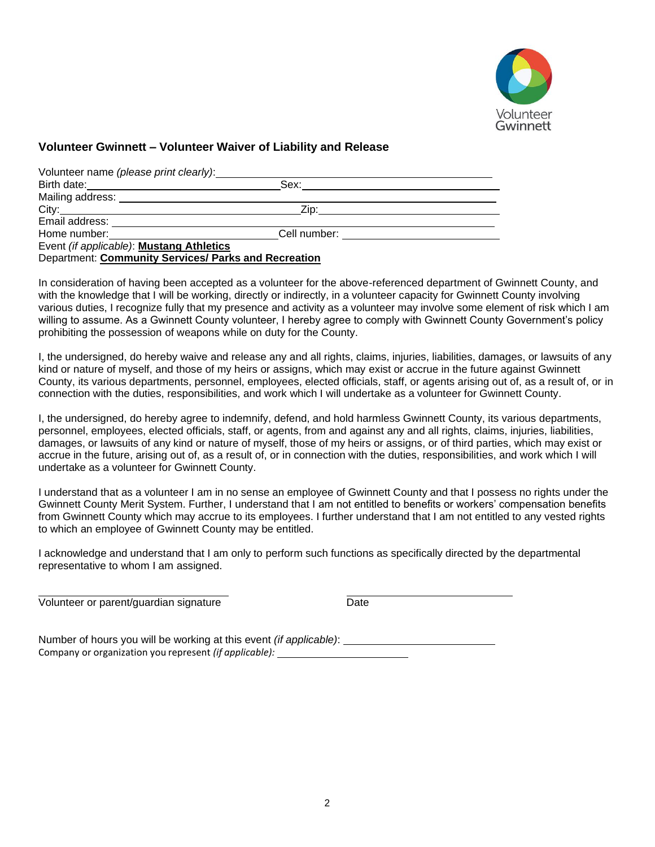

### **Volunteer Gwinnett – Volunteer Waiver of Liability and Release**

| Volunteer name (please print clearly):   |              |
|------------------------------------------|--------------|
| Birth date:                              | Sex:         |
| Mailing address: <u>containing</u>       |              |
| City:                                    | Zip:         |
| Email address:                           |              |
| Home number:                             | Cell number: |
| Event (if applicable): Mustang Athletics |              |

Department: **Community Services/ Parks and Recreation**

In consideration of having been accepted as a volunteer for the above-referenced department of Gwinnett County, and with the knowledge that I will be working, directly or indirectly, in a volunteer capacity for Gwinnett County involving various duties, I recognize fully that my presence and activity as a volunteer may involve some element of risk which I am willing to assume. As a Gwinnett County volunteer, I hereby agree to comply with Gwinnett County Government's policy prohibiting the possession of weapons while on duty for the County.

I, the undersigned, do hereby waive and release any and all rights, claims, injuries, liabilities, damages, or lawsuits of any kind or nature of myself, and those of my heirs or assigns, which may exist or accrue in the future against Gwinnett County, its various departments, personnel, employees, elected officials, staff, or agents arising out of, as a result of, or in connection with the duties, responsibilities, and work which I will undertake as a volunteer for Gwinnett County.

I, the undersigned, do hereby agree to indemnify, defend, and hold harmless Gwinnett County, its various departments, personnel, employees, elected officials, staff, or agents, from and against any and all rights, claims, injuries, liabilities, damages, or lawsuits of any kind or nature of myself, those of my heirs or assigns, or of third parties, which may exist or accrue in the future, arising out of, as a result of, or in connection with the duties, responsibilities, and work which I will undertake as a volunteer for Gwinnett County.

I understand that as a volunteer I am in no sense an employee of Gwinnett County and that I possess no rights under the Gwinnett County Merit System. Further, I understand that I am not entitled to benefits or workers' compensation benefits from Gwinnett County which may accrue to its employees. I further understand that I am not entitled to any vested rights to which an employee of Gwinnett County may be entitled.

I acknowledge and understand that I am only to perform such functions as specifically directed by the departmental representative to whom I am assigned.

Volunteer or parent/guardian signature Date

Number of hours you will be working at this event *(if applicable)*: Company or organization you represent *(if applicable):*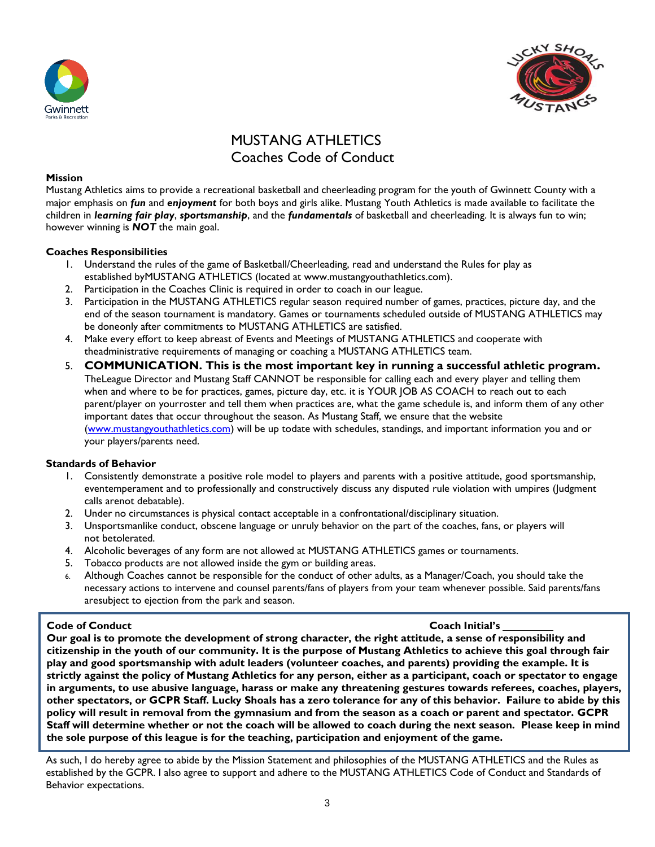



# MUSTANG ATHLETICS Coaches Code of Conduct

#### **Mission**

Mustang Athletics aims to provide a recreational basketball and cheerleading program for the youth of Gwinnett County with a major emphasis on *fun* and *enjoyment* for both boys and girls alike. Mustang Youth Athletics is made available to facilitate the children in *learning fair play*, *sportsmanship*, and the *fundamentals* of basketball and cheerleading. It is always fun to win; however winning is *NOT* the main goal.

#### **Coaches Responsibilities**

- 1. Understand the rules of the game of Basketball/Cheerleading, read and understand the Rules for play as established byMUSTANG ATHLETICS (located at www.mustangyouthathletics.com).
- 2. Participation in the Coaches Clinic is required in order to coach in our league.
- 3. Participation in the MUSTANG ATHLETICS regular season required number of games, practices, picture day, and the end of the season tournament is mandatory. Games or tournaments scheduled outside of MUSTANG ATHLETICS may be doneonly after commitments to MUSTANG ATHLETICS are satisfied.
- 4. Make every effort to keep abreast of Events and Meetings of MUSTANG ATHLETICS and cooperate with theadministrative requirements of managing or coaching a MUSTANG ATHLETICS team.
- 5. **COMMUNICATION. This is the most important key in running a successful athletic program.**  TheLeague Director and Mustang Staff CANNOT be responsible for calling each and every player and telling them when and where to be for practices, games, picture day, etc. it is YOUR JOB AS COACH to reach out to each parent/player on yourroster and tell them when practices are, what the game schedule is, and inform them of any other important dates that occur throughout the season. As Mustang Staff, we ensure that the website [\(www.mustangyouthathletics.com\)](http://www.mustangyouthathletics.com/) will be up todate with schedules, standings, and important information you and or your players/parents need.

#### **Standards of Behavior**

- 1. Consistently demonstrate a positive role model to players and parents with a positive attitude, good sportsmanship, eventemperament and to professionally and constructively discuss any disputed rule violation with umpires (Judgment calls arenot debatable).
- 2. Under no circumstances is physical contact acceptable in a confrontational/disciplinary situation.
- 3. Unsportsmanlike conduct, obscene language or unruly behavior on the part of the coaches, fans, or players will not betolerated.
- 4. Alcoholic beverages of any form are not allowed at MUSTANG ATHLETICS games or tournaments.
- 5. Tobacco products are not allowed inside the gym or building areas.
- 6. Although Coaches cannot be responsible for the conduct of other adults, as a Manager/Coach, you should take the necessary actions to intervene and counsel parents/fans of players from your team whenever possible. Said parents/fans aresubject to ejection from the park and season.

#### **Code of Conduct Coach Initial's**

**Our goal is to promote the development of strong character, the right attitude, a sense of responsibility and citizenship in the youth of our community. It is the purpose of Mustang Athletics to achieve this goal through fair play and good sportsmanship with adult leaders (volunteer coaches, and parents) providing the example. It is strictly against the policy of Mustang Athletics for any person, either as a participant, coach or spectator to engage in arguments, to use abusive language, harass or make any threatening gestures towards referees, coaches, players,** other spectators, or GCPR Staff. Lucky Shoals has a zero tolerance for any of this behavior. Failure to abide by this **policy will result in removal from the gymnasium and from the season as a coach or parent and spectator. GCPR** Staff will determine whether or not the coach will be allowed to coach during the next season. Please keep in mind **the sole purpose of this league is for the teaching, participation and enjoyment of the game.**

As such, I do hereby agree to abide by the Mission Statement and philosophies of the MUSTANG ATHLETICS and the Rules as established by the GCPR. I also agree to support and adhere to the MUSTANG ATHLETICS Code of Conduct and Standards of Behavior expectations.